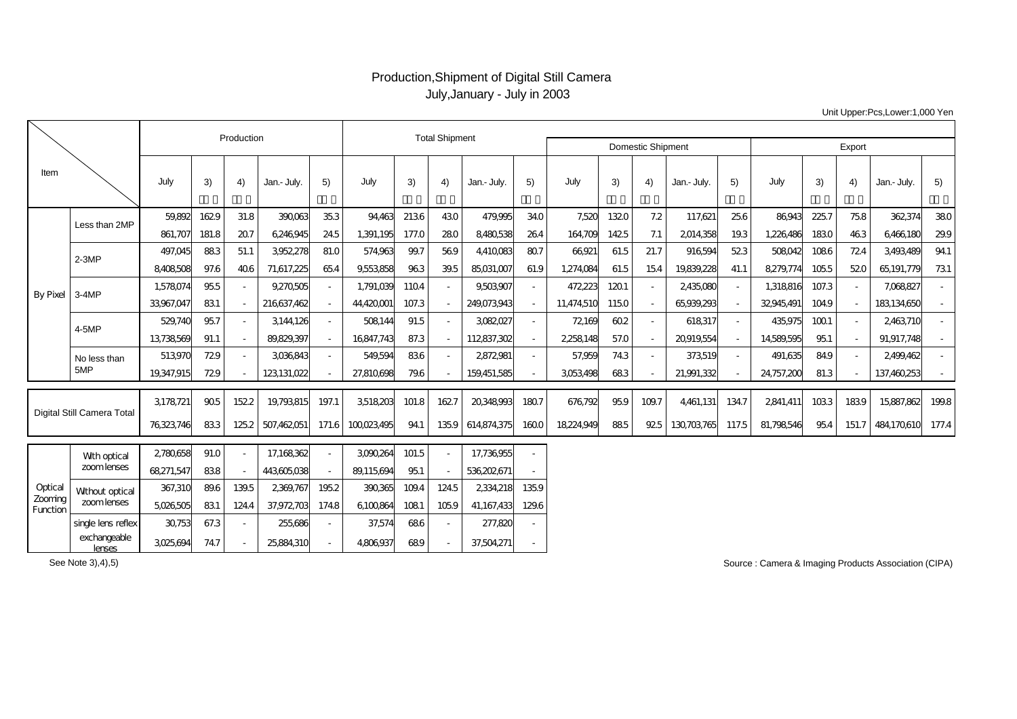## Production,Shipment of Digital Still Camera July,January - July in 2003

|                                |                                              | Production             |               |               |                          |                  | <b>Total Shipment</b>   |               |              |                         |                | Domestic Shipment    |              |                  |                        |             | Export                |               |            |                          |             |
|--------------------------------|----------------------------------------------|------------------------|---------------|---------------|--------------------------|------------------|-------------------------|---------------|--------------|-------------------------|----------------|----------------------|--------------|------------------|------------------------|-------------|-----------------------|---------------|------------|--------------------------|-------------|
| Item                           |                                              | July                   | 3)            | 4)            | Jan.- July.              | 5)               | July                    | 3)            | 4)           | Jan.- July.             | 5)             | July                 | 3)           | 4)               | Jan.- July.            | 5)          | July                  | 3)            | 4)         | Jan.- July.              | 5)          |
| By Pixel                       | Less than 2MP                                | 59.892<br>861,707      | 1629<br>181.8 | 31.8<br>207   | 390.063<br>6246945       | 35.3<br>245      | 94,463<br>1,391,195     | 2136<br>177.0 | 430<br>280   | 479,995<br>8480538      | 340<br>264     | 7.52C<br>164,709     | 1320<br>1425 | 7.2<br>7.1       | 117,621<br>2014358     | 256<br>193  | 86943<br>1.226.486    | 225.7<br>1830 | 758<br>463 | 362,374<br>6466180       | 380<br>29.9 |
|                                | $2 - 3MP$                                    | 497.045<br>8408508     | 883<br>97.6   | 51.1<br>406   | 3952,278<br>71,617,225   | 81.0<br>654      | 574963<br>9553858       | 99.7<br>963   | 569<br>39.5  | 4410083<br>85,031,007   | 80.7<br>61.9   | 66921<br>1,274,084   | 61.5<br>61.5 | 21.7<br>154      | 916594<br>19839,228    | 523<br>41.1 | 508042<br>8279,774    | 1086<br>1055  | 724<br>520 | 3493489<br>65, 191, 779  | 941<br>731  |
|                                | $3-4MP$                                      | 1,578,074<br>33967.047 | 955<br>831    |               | 9,270,505<br>216637.462  | $\sim$<br>$\sim$ | 1,791,039<br>44,420,001 | 1104<br>107.3 |              | 9,503907<br>249.073943  |                | 472,223<br>11.474510 | 1201<br>1150 | $\sim$<br>$\sim$ | 2,435,080<br>65939.293 |             | 1,318,816<br>32945491 | 107.3<br>1049 |            | 7,068827<br>183134650    |             |
|                                | 4-5MP                                        | 529,740<br>13738569    | 957<br>91.1   | $\sim$        | 3144,126<br>89,829,397   | $\sim$<br>$\sim$ | 508144<br>16847,743     | 91.5<br>87.3  | $\sim$       | 3082027<br>112837,302   |                | 72,169<br>2258,148   | 602<br>57.0  | $\sim$<br>$\sim$ | 618317<br>20919.554    | $\sim$      | 435,975<br>14589595   | 1001<br>95.1  |            | 2463710<br>91,917,748    |             |
|                                | No less than<br>5MP                          | 513970<br>19,347,915   | 729<br>729    |               | 3036843<br>123, 131, 022 | $\sim$           | 549,594<br>27,810,698   | 836<br>796    |              | 2872981<br>159,451,585  |                | 57.959<br>3053498    | 743<br>683   | $\sim$           | 373519<br>21,991,332   |             | 491,635<br>24,757,200 | 849<br>81.3   |            | 2,499,462<br>137,460,253 |             |
| Digital Still Camera Total     |                                              | 3,178721               | 905           | 152.2         | 19793815                 | 197.1            | 3518203                 | 101.8         | 1627         | 20348993                | 1807           | 676792               | 959          | 109.7            | 4,461,131              | 1347        | 2841,411              | 1033          | 1839       | 15,887,862               | 1998        |
|                                |                                              | 76323746               | 833           | 125.2         | 507,462,051              | 171.6            | 100023495               | 941           | 1359         | 614874375               | 1600           | 18224949             | 885          | 925              | 130703765              | 117.5       | 81,798,546            | 95.4          | 151.7      | 484170610                | 177.4       |
| Optical<br>Zooming<br>Function | With optical<br>zoomlenses                   | 2780658<br>68271,547   | 91.0<br>838   |               | 17,168,362<br>443605038  | $\sim$<br>$\sim$ | 3090,264<br>89.115694   | 101.5<br>951  |              | 17,736,955<br>536202671 |                |                      |              |                  |                        |             |                       |               |            |                          |             |
|                                | Without optical<br>zoomlenses                | 367,310<br>5026505     | 896<br>831    | 139.5<br>1244 | 2369,767<br>37,972,703   | 195.2<br>1748    | 390365<br>6100864       | 1094<br>1081  | 1245<br>1059 | 2334218<br>41,167,433   | 135.9<br>129.6 |                      |              |                  |                        |             |                       |               |            |                          |             |
|                                | single lens reflex<br>exchangeable<br>lenses | 30753<br>3025694       | 67.3<br>747   | $\sim$        | 255,686<br>25,884,310    | $\sim$           | 37,574<br>4806937       | 686<br>689    | $\sim$       | 277,820<br>37,504,271   |                |                      |              |                  |                        |             |                       |               |            |                          |             |

Unit Upper:Pcs,Lower:1,000 Yen

See Note 3),4),5)

Source : Camera & Imaging Products Association (CIPA)